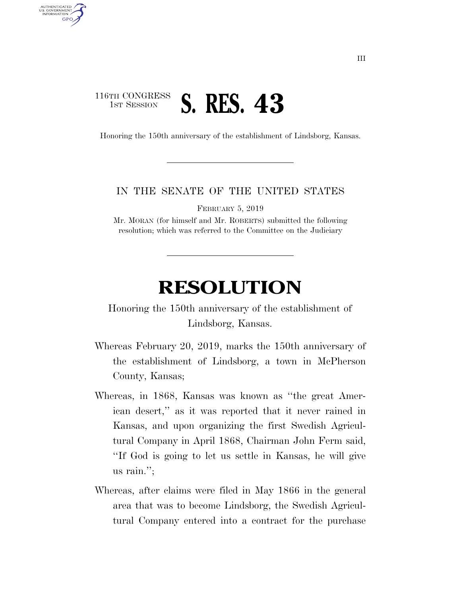## 116TH CONGRESS **1ST SESSION S. RES. 43**

AUTHENTICATED U.S. GOVERNMENT **GPO** 

Honoring the 150th anniversary of the establishment of Lindsborg, Kansas.

## IN THE SENATE OF THE UNITED STATES

FEBRUARY 5, 2019

Mr. MORAN (for himself and Mr. ROBERTS) submitted the following resolution; which was referred to the Committee on the Judiciary

## **RESOLUTION**

Honoring the 150th anniversary of the establishment of Lindsborg, Kansas.

- Whereas February 20, 2019, marks the 150th anniversary of the establishment of Lindsborg, a town in McPherson County, Kansas;
- Whereas, in 1868, Kansas was known as ''the great American desert,'' as it was reported that it never rained in Kansas, and upon organizing the first Swedish Agricultural Company in April 1868, Chairman John Ferm said, ''If God is going to let us settle in Kansas, he will give us rain.'';
- Whereas, after claims were filed in May 1866 in the general area that was to become Lindsborg, the Swedish Agricultural Company entered into a contract for the purchase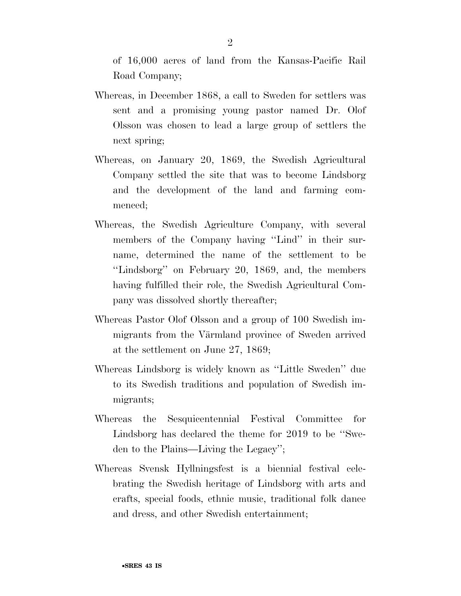of 16,000 acres of land from the Kansas-Pacific Rail Road Company;

- Whereas, in December 1868, a call to Sweden for settlers was sent and a promising young pastor named Dr. Olof Olsson was chosen to lead a large group of settlers the next spring;
- Whereas, on January 20, 1869, the Swedish Agricultural Company settled the site that was to become Lindsborg and the development of the land and farming commenced;
- Whereas, the Swedish Agriculture Company, with several members of the Company having "Lind" in their surname, determined the name of the settlement to be ''Lindsborg'' on February 20, 1869, and, the members having fulfilled their role, the Swedish Agricultural Company was dissolved shortly thereafter;
- Whereas Pastor Olof Olsson and a group of 100 Swedish immigrants from the Värmland province of Sweden arrived at the settlement on June 27, 1869;
- Whereas Lindsborg is widely known as ''Little Sweden'' due to its Swedish traditions and population of Swedish immigrants;
- Whereas the Sesquicentennial Festival Committee for Lindsborg has declared the theme for 2019 to be ''Sweden to the Plains—Living the Legacy'';
- Whereas Svensk Hyllningsfest is a biennial festival celebrating the Swedish heritage of Lindsborg with arts and crafts, special foods, ethnic music, traditional folk dance and dress, and other Swedish entertainment;